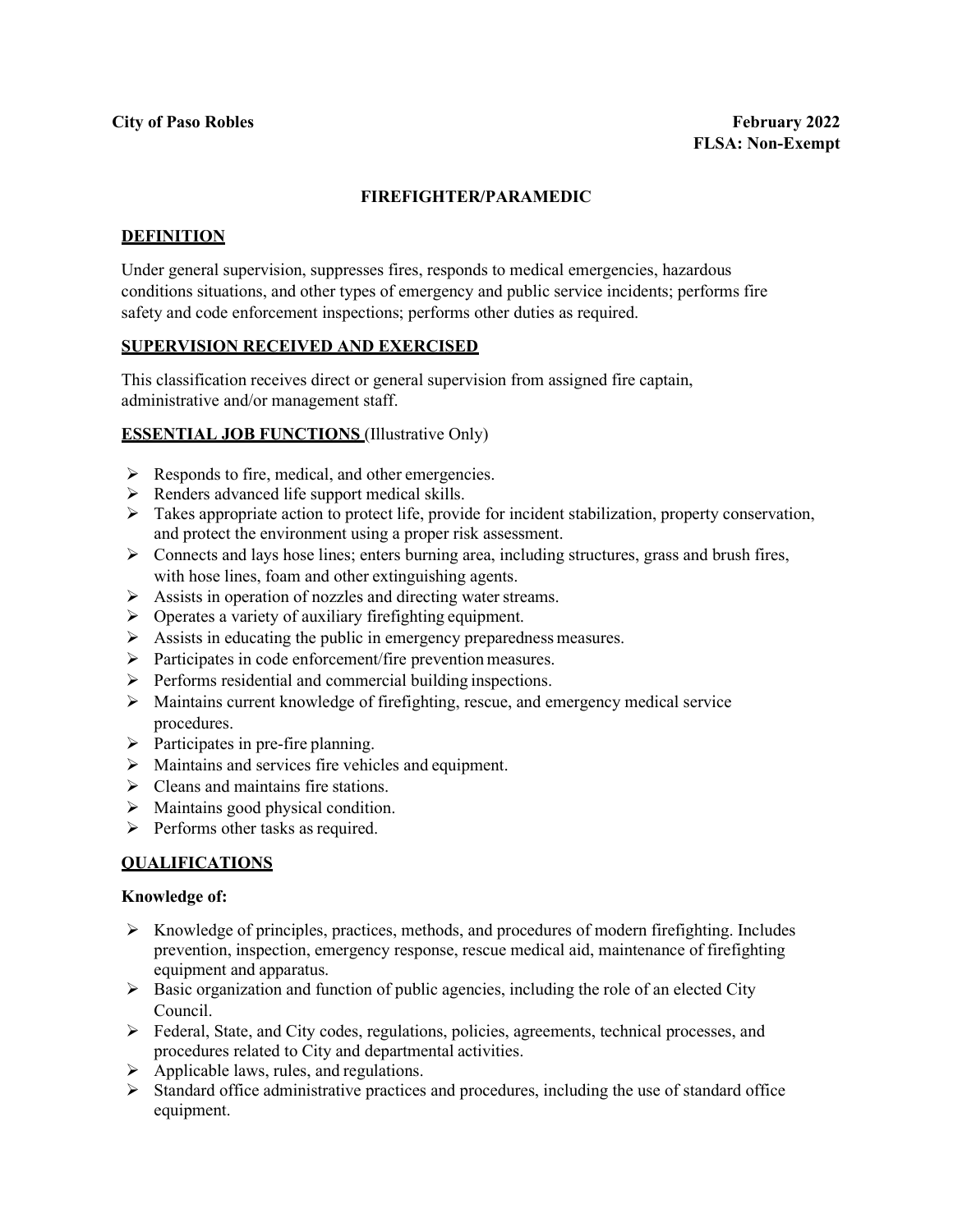## **FIREFIGHTER/PARAMEDIC**

### **DEFINITION**

Under general supervision, suppresses fires, responds to medical emergencies, hazardous conditions situations, and other types of emergency and public service incidents; performs fire safety and code enforcement inspections; performs other duties as required.

#### **SUPERVISION RECEIVED AND EXERCISED**

This classification receives direct or general supervision from assigned fire captain, administrative and/or management staff.

#### **ESSENTIAL JOB FUNCTIONS** (Illustrative Only)

- $\triangleright$  Responds to fire, medical, and other emergencies.
- $\triangleright$  Renders advanced life support medical skills.
- $\triangleright$  Takes appropriate action to protect life, provide for incident stabilization, property conservation, and protect the environment using a proper risk assessment.
- Connects and lays hose lines; enters burning area, including structures, grass and brush fires, with hose lines, foam and other extinguishing agents.
- $\triangleright$  Assists in operation of nozzles and directing water streams.
- $\triangleright$  Operates a variety of auxiliary firefighting equipment.
- $\triangleright$  Assists in educating the public in emergency preparedness measures.
- $\triangleright$  Participates in code enforcement/fire prevention measures.
- $\triangleright$  Performs residential and commercial building inspections.
- $\triangleright$  Maintains current knowledge of firefighting, rescue, and emergency medical service procedures.
- $\triangleright$  Participates in pre-fire planning.
- $\triangleright$  Maintains and services fire vehicles and equipment.
- $\triangleright$  Cleans and maintains fire stations.
- $\triangleright$  Maintains good physical condition.
- $\triangleright$  Performs other tasks as required.

### **QUALIFICATIONS**

#### **Knowledge of:**

- $\triangleright$  Knowledge of principles, practices, methods, and procedures of modern firefighting. Includes prevention, inspection, emergency response, rescue medical aid, maintenance of firefighting equipment and apparatus.
- $\triangleright$  Basic organization and function of public agencies, including the role of an elected City Council.
- $\triangleright$  Federal, State, and City codes, regulations, policies, agreements, technical processes, and procedures related to City and departmental activities.
- $\triangleright$  Applicable laws, rules, and regulations.
- $\triangleright$  Standard office administrative practices and procedures, including the use of standard office equipment.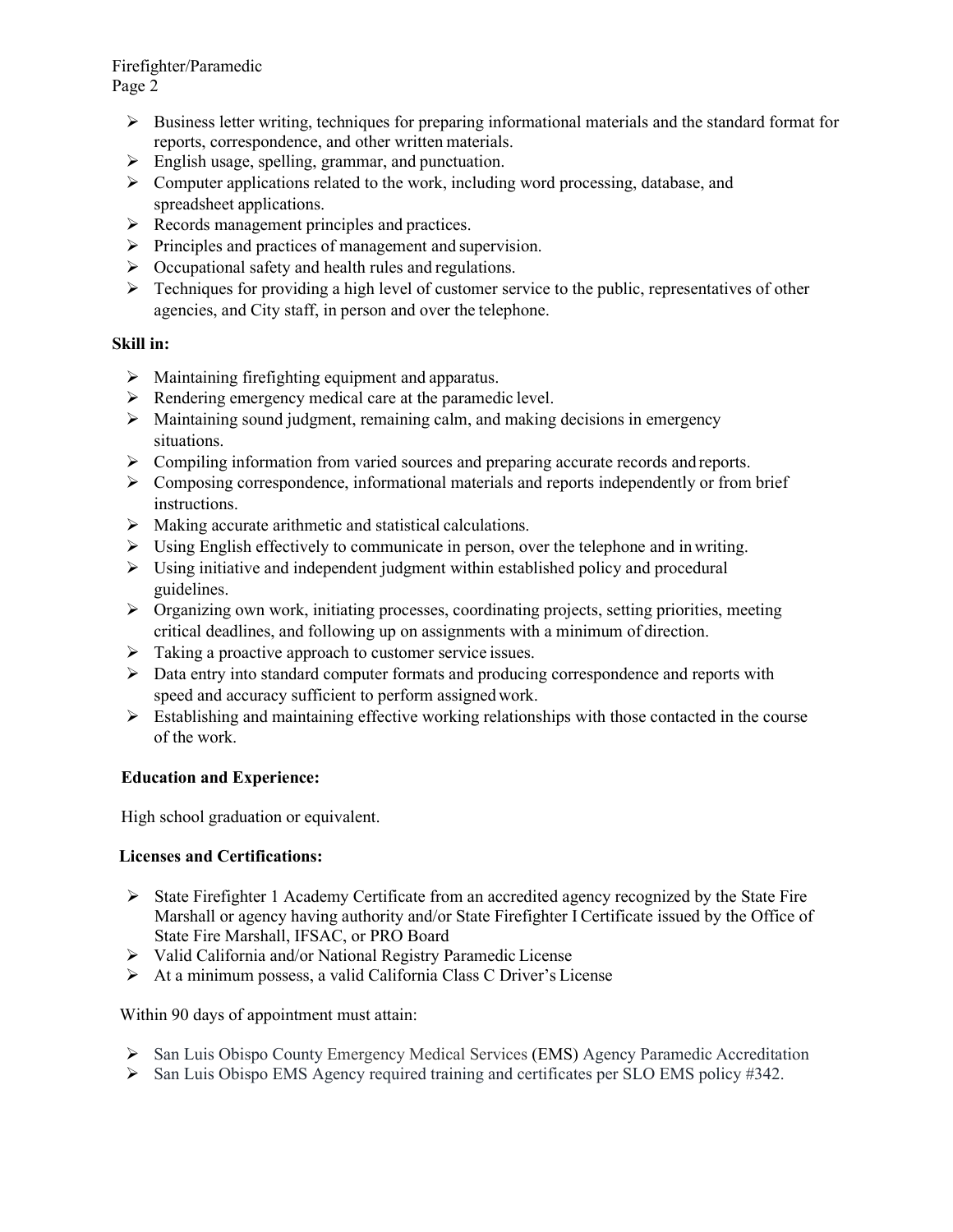Firefighter/Paramedic Page 2

- $\triangleright$  Business letter writing, techniques for preparing informational materials and the standard format for reports, correspondence, and other written materials.
- **English usage, spelling, grammar, and punctuation.**
- $\triangleright$  Computer applications related to the work, including word processing, database, and spreadsheet applications.
- $\triangleright$  Records management principles and practices.
- $\triangleright$  Principles and practices of management and supervision.
- $\triangleright$  Occupational safety and health rules and regulations.
- $\triangleright$  Techniques for providing a high level of customer service to the public, representatives of other agencies, and City staff, in person and over the telephone.

# **Skill in:**

- $\triangleright$  Maintaining firefighting equipment and apparatus.
- $\triangleright$  Rendering emergency medical care at the paramedic level.
- $\triangleright$  Maintaining sound judgment, remaining calm, and making decisions in emergency situations.
- Compiling information from varied sources and preparing accurate records and reports.
- $\triangleright$  Composing correspondence, informational materials and reports independently or from brief instructions.
- $\triangleright$  Making accurate arithmetic and statistical calculations.
- $\triangleright$  Using English effectively to communicate in person, over the telephone and in writing.
- $\triangleright$  Using initiative and independent judgment within established policy and procedural guidelines.
- $\triangleright$  Organizing own work, initiating processes, coordinating projects, setting priorities, meeting critical deadlines, and following up on assignments with a minimum of direction.
- $\triangleright$  Taking a proactive approach to customer service issues.
- $\triangleright$  Data entry into standard computer formats and producing correspondence and reports with speed and accuracy sufficient to perform assigned work.
- $\triangleright$  Establishing and maintaining effective working relationships with those contacted in the course of the work.

# **Education and Experience:**

High school graduation or equivalent.

# **Licenses and Certifications:**

- $\triangleright$  State Firefighter 1 Academy Certificate from an accredited agency recognized by the State Fire Marshall or agency having authority and/or State Firefighter I Certificate issued by the Office of State Fire Marshall, IFSAC, or PRO Board
- Valid California and/or National Registry Paramedic License
- At a minimum possess, a valid California Class C Driver's License

Within 90 days of appointment must attain:

- San Luis Obispo County Emergency Medical Services (EMS) Agency Paramedic Accreditation
- $\triangleright$  San Luis Obispo EMS Agency required training and certificates per SLO EMS policy #342.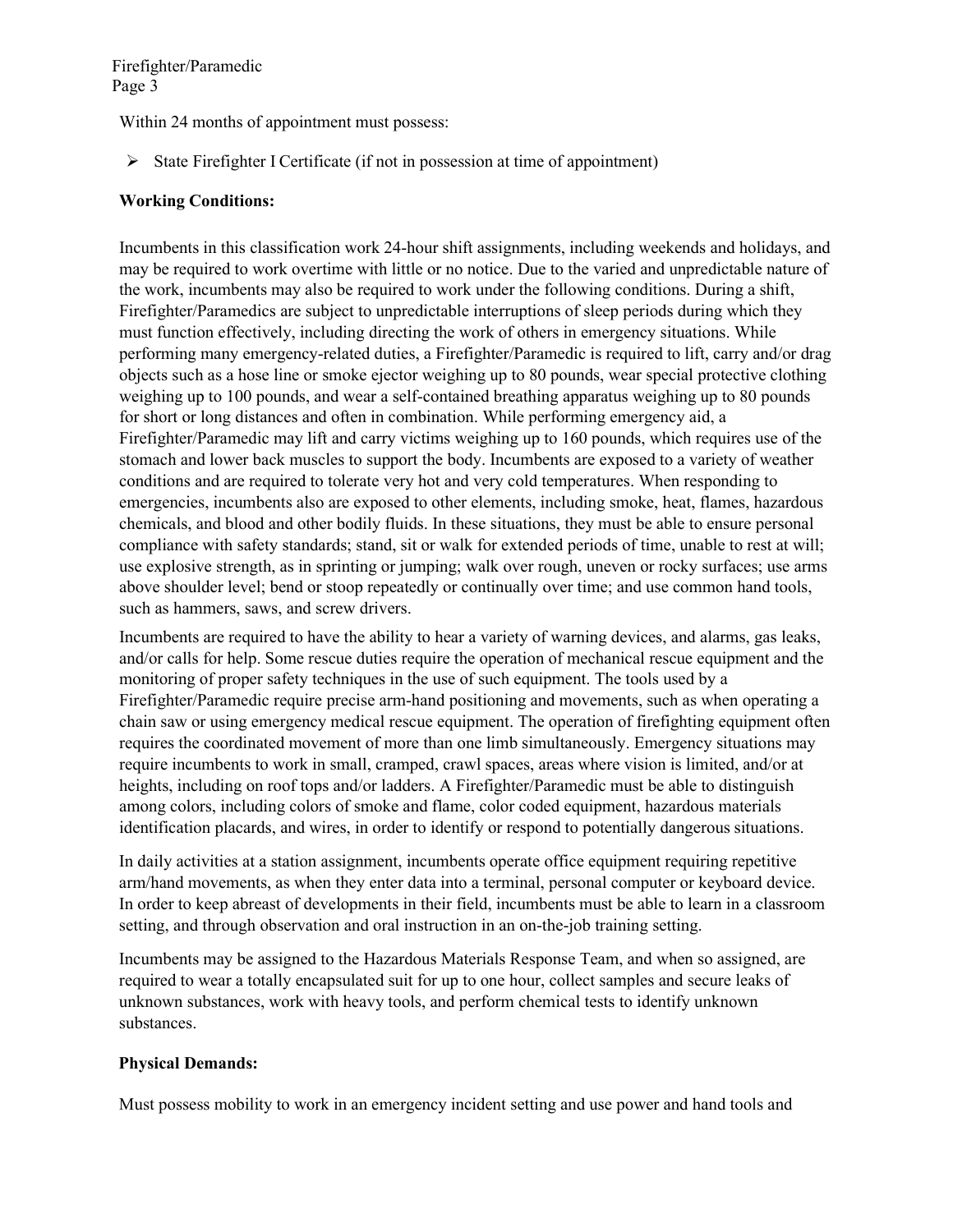Firefighter/Paramedic Page 3

Within 24 months of appointment must possess:

 $\triangleright$  State Firefighter I Certificate (if not in possession at time of appointment)

## **Working Conditions:**

Incumbents in this classification work 24-hour shift assignments, including weekends and holidays, and may be required to work overtime with little or no notice. Due to the varied and unpredictable nature of the work, incumbents may also be required to work under the following conditions. During a shift, Firefighter/Paramedics are subject to unpredictable interruptions of sleep periods during which they must function effectively, including directing the work of others in emergency situations. While performing many emergency-related duties, a Firefighter/Paramedic is required to lift, carry and/or drag objects such as a hose line or smoke ejector weighing up to 80 pounds, wear special protective clothing weighing up to 100 pounds, and wear a self-contained breathing apparatus weighing up to 80 pounds for short or long distances and often in combination. While performing emergency aid, a Firefighter/Paramedic may lift and carry victims weighing up to 160 pounds, which requires use of the stomach and lower back muscles to support the body. Incumbents are exposed to a variety of weather conditions and are required to tolerate very hot and very cold temperatures. When responding to emergencies, incumbents also are exposed to other elements, including smoke, heat, flames, hazardous chemicals, and blood and other bodily fluids. In these situations, they must be able to ensure personal compliance with safety standards; stand, sit or walk for extended periods of time, unable to rest at will; use explosive strength, as in sprinting or jumping; walk over rough, uneven or rocky surfaces; use arms above shoulder level; bend or stoop repeatedly or continually over time; and use common hand tools, such as hammers, saws, and screw drivers.

Incumbents are required to have the ability to hear a variety of warning devices, and alarms, gas leaks, and/or calls for help. Some rescue duties require the operation of mechanical rescue equipment and the monitoring of proper safety techniques in the use of such equipment. The tools used by a Firefighter/Paramedic require precise arm-hand positioning and movements, such as when operating a chain saw or using emergency medical rescue equipment. The operation of firefighting equipment often requires the coordinated movement of more than one limb simultaneously. Emergency situations may require incumbents to work in small, cramped, crawl spaces, areas where vision is limited, and/or at heights, including on roof tops and/or ladders. A Firefighter/Paramedic must be able to distinguish among colors, including colors of smoke and flame, color coded equipment, hazardous materials identification placards, and wires, in order to identify or respond to potentially dangerous situations.

In daily activities at a station assignment, incumbents operate office equipment requiring repetitive arm/hand movements, as when they enter data into a terminal, personal computer or keyboard device. In order to keep abreast of developments in their field, incumbents must be able to learn in a classroom setting, and through observation and oral instruction in an on-the-job training setting.

Incumbents may be assigned to the Hazardous Materials Response Team, and when so assigned, are required to wear a totally encapsulated suit for up to one hour, collect samples and secure leaks of unknown substances, work with heavy tools, and perform chemical tests to identify unknown substances.

### **Physical Demands:**

Must possess mobility to work in an emergency incident setting and use power and hand tools and